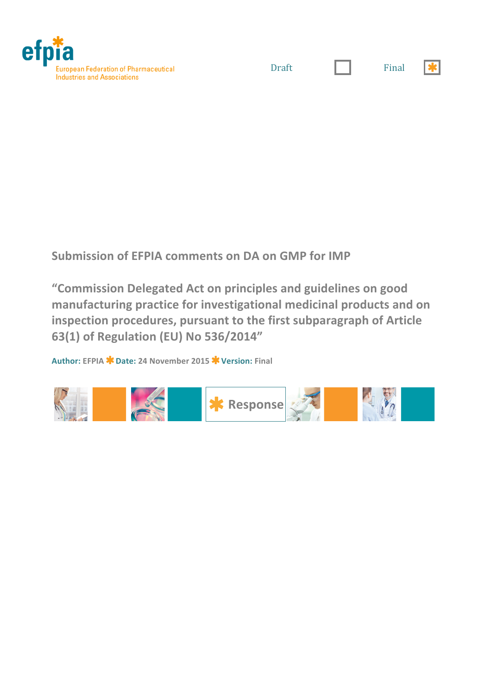

Draft | Final

**Submission of EFPIA comments on DA on GMP for IMP** 

**"Commission!Delegated!Act!on!principles!and!guidelines!on!good!** manufacturing practice for investigational medicinal products and on inspection procedures, pursuant to the first subparagraph of Article **63(1)!of!Regulation!(EU)!No!536/2014"**

**Author: EFPIA Date: 24!November!2015 Version: Final**

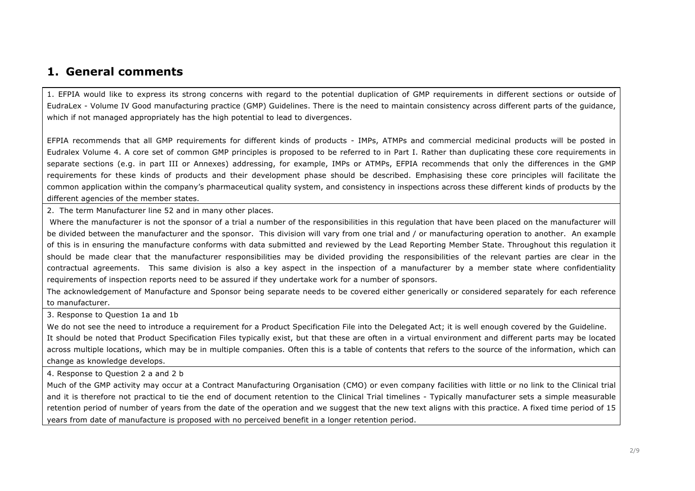### **1. General comments**

1. EFPIA would like to express its strong concerns with regard to the potential duplication of GMP requirements in different sections or outside of EudraLex - Volume IV Good manufacturing practice (GMP) Guidelines. There is the need to maintain consistency across different parts of the guidance, which if not managed appropriately has the high potential to lead to divergences.

EFPIA recommends that all GMP requirements for different kinds of products - IMPs, ATMPs and commercial medicinal products will be posted in Eudralex Volume 4. A core set of common GMP principles is proposed to be referred to in Part I. Rather than duplicating these core requirements in separate sections (e.g. in part III or Annexes) addressing, for example, IMPs or ATMPs, EFPIA recommends that only the differences in the GMP requirements for these kinds of products and their development phase should be described. Emphasising these core principles will facilitate the common application within the company's pharmaceutical quality system, and consistency in inspections across these different kinds of products by the different agencies of the member states.

2. The term Manufacturer line 52 and in many other places.

Where the manufacturer is not the sponsor of a trial a number of the responsibilities in this regulation that have been placed on the manufacturer will be divided between the manufacturer and the sponsor. This division will vary from one trial and / or manufacturing operation to another. An example of this is in ensuring the manufacture conforms with data submitted and reviewed by the Lead Reporting Member State. Throughout this regulation it should be made clear that the manufacturer responsibilities may be divided providing the responsibilities of the relevant parties are clear in the contractual agreements. This same division is also a key aspect in the inspection of a manufacturer by a member state where confidentiality requirements of inspection reports need to be assured if they undertake work for a number of sponsors.

The acknowledgement of Manufacture and Sponsor being separate needs to be covered either generically or considered separately for each reference to manufacturer.

3. Response to Question 1a and 1b

We do not see the need to introduce a requirement for a Product Specification File into the Delegated Act; it is well enough covered by the Guideline. It should be noted that Product Specification Files typically exist, but that these are often in a virtual environment and different parts may be located across multiple locations, which may be in multiple companies. Often this is a table of contents that refers to the source of the information, which can change as knowledge develops.

4. Response to Question 2 a and 2 b

Much of the GMP activity may occur at a Contract Manufacturing Organisation (CMO) or even company facilities with little or no link to the Clinical trial and it is therefore not practical to tie the end of document retention to the Clinical Trial timelines - Typically manufacturer sets a simple measurable retention period of number of years from the date of the operation and we suggest that the new text aligns with this practice. A fixed time period of 15 years from date of manufacture is proposed with no perceived benefit in a longer retention period.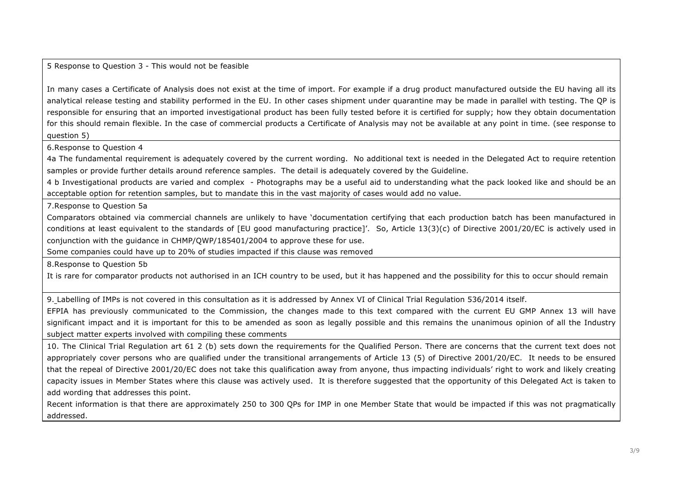### 5 Response to Question 3 - This would not be feasible

In many cases a Certificate of Analysis does not exist at the time of import. For example if a drug product manufactured outside the EU having all its analytical release testing and stability performed in the EU. In other cases shipment under quarantine may be made in parallel with testing. The QP is responsible for ensuring that an imported investigational product has been fully tested before it is certified for supply; how they obtain documentation for this should remain flexible. In the case of commercial products a Certificate of Analysis may not be available at any point in time. (see response to question 5)

6.Response to Question 4

4a The fundamental requirement is adequately covered by the current wording. No additional text is needed in the Delegated Act to require retention samples or provide further details around reference samples. The detail is adequately covered by the Guideline.

4 b Investigational products are varied and complex - Photographs may be a useful aid to understanding what the pack looked like and should be an acceptable option for retention samples, but to mandate this in the vast majority of cases would add no value.

7.Response to Question 5a

Comparators obtained via commercial channels are unlikely to have 'documentation certifying that each production batch has been manufactured in conditions at least equivalent to the standards of [EU good manufacturing practice]'. So, Article 13(3)(c) of Directive 2001/20/EC is actively used in conjunction with the guidance in CHMP/QWP/185401/2004 to approve these for use.

Some companies could have up to 20% of studies impacted if this clause was removed

8.Response to Question 5b

It is rare for comparator products not authorised in an ICH country to be used, but it has happened and the possibility for this to occur should remain

9. Labelling of IMPs is not covered in this consultation as it is addressed by Annex VI of Clinical Trial Regulation 536/2014 itself.

EFPIA has previously communicated to the Commission, the changes made to this text compared with the current EU GMP Annex 13 will have significant impact and it is important for this to be amended as soon as legally possible and this remains the unanimous opinion of all the Industry subject matter experts involved with compiling these comments

10. The Clinical Trial Regulation art 61 2 (b) sets down the requirements for the Qualified Person. There are concerns that the current text does not appropriately cover persons who are qualified under the transitional arrangements of Article 13 (5) of Directive 2001/20/EC. It needs to be ensured that the repeal of Directive 2001/20/EC does not take this qualification away from anyone, thus impacting individuals' right to work and likely creating capacity issues in Member States where this clause was actively used. It is therefore suggested that the opportunity of this Delegated Act is taken to add wording that addresses this point.

Recent information is that there are approximately 250 to 300 QPs for IMP in one Member State that would be impacted if this was not pragmatically addressed.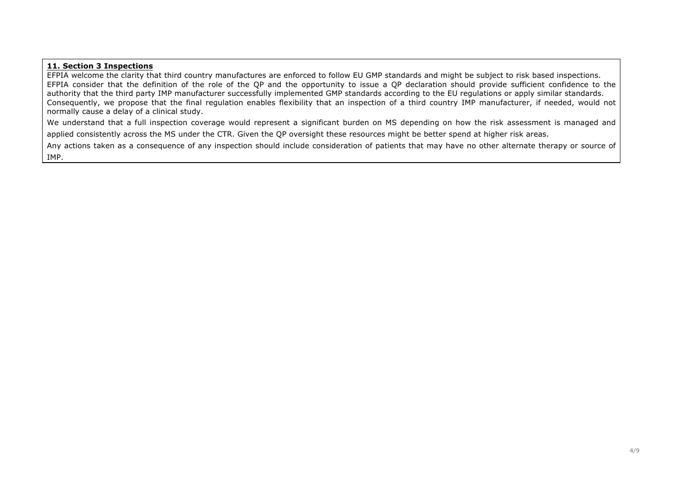#### **11. Section 3 Inspections**

EFPIA welcome the clarity that third country manufactures are enforced to follow EU GMP standards and might be subject to risk based inspections. EFPIA consider that the definition of the role of the QP and the opportunity to issue a QP declaration should provide sufficient confidence to the authority that the third party IMP manufacturer successfully implemented GMP standards according to the EU regulations or apply similar standards. Consequently, we propose that the final regulation enables flexibility that an inspection of a third country IMP manufacturer, if needed, would not normally cause a delay of a clinical study.

We understand that a full inspection coverage would represent a significant burden on MS depending on how the risk assessment is managed and applied consistently across the MS under the CTR. Given the QP oversight these resources might be better spend at higher risk areas.

Any actions taken as a consequence of any inspection should include consideration of patients that may have no other alternate therapy or source of IMP.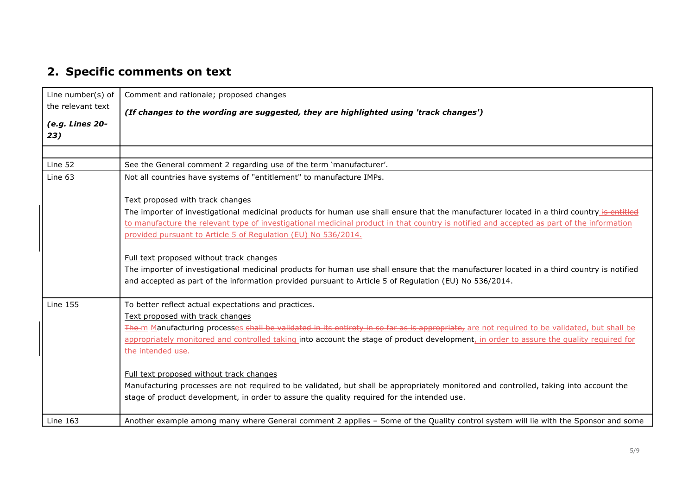# **2. Specific comments on text**

| Line number(s) of<br>the relevant text | Comment and rationale; proposed changes                                                                                                      |
|----------------------------------------|----------------------------------------------------------------------------------------------------------------------------------------------|
|                                        | (If changes to the wording are suggested, they are highlighted using 'track changes')                                                        |
| (e.g. Lines 20-<br>23)                 |                                                                                                                                              |
|                                        |                                                                                                                                              |
| Line 52                                | See the General comment 2 regarding use of the term 'manufacturer'.                                                                          |
| Line 63                                | Not all countries have systems of "entitlement" to manufacture IMPs.                                                                         |
|                                        | Text proposed with track changes                                                                                                             |
|                                        | The importer of investigational medicinal products for human use shall ensure that the manufacturer located in a third country is entitled   |
|                                        | to manufacture the relevant type of investigational medicinal product in that country is notified and accepted as part of the information    |
|                                        | provided pursuant to Article 5 of Regulation (EU) No 536/2014.                                                                               |
|                                        | Full text proposed without track changes                                                                                                     |
|                                        | The importer of investigational medicinal products for human use shall ensure that the manufacturer located in a third country is notified   |
|                                        | and accepted as part of the information provided pursuant to Article 5 of Regulation (EU) No 536/2014.                                       |
| <b>Line 155</b>                        | To better reflect actual expectations and practices.                                                                                         |
|                                        | Text proposed with track changes                                                                                                             |
|                                        | The-m Manufacturing processes shall be validated in its entirety in so far as is appropriate, are not required to be validated, but shall be |
|                                        | appropriately monitored and controlled taking into account the stage of product development, in order to assure the quality required for     |
|                                        | the intended use.                                                                                                                            |
|                                        | Full text proposed without track changes                                                                                                     |
|                                        | Manufacturing processes are not required to be validated, but shall be appropriately monitored and controlled, taking into account the       |
|                                        | stage of product development, in order to assure the quality required for the intended use.                                                  |
| Line 163                               | Another example among many where General comment 2 applies - Some of the Quality control system will lie with the Sponsor and some           |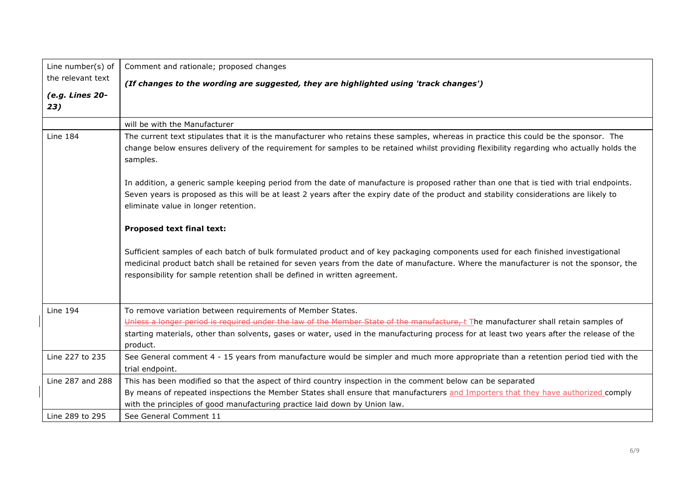| Line number(s) of      | Comment and rationale; proposed changes                                                                                                                                                                                                                                                                                                                    |
|------------------------|------------------------------------------------------------------------------------------------------------------------------------------------------------------------------------------------------------------------------------------------------------------------------------------------------------------------------------------------------------|
| the relevant text      | (If changes to the wording are suggested, they are highlighted using 'track changes')                                                                                                                                                                                                                                                                      |
| (e.g. Lines 20-<br>23) |                                                                                                                                                                                                                                                                                                                                                            |
|                        | will be with the Manufacturer                                                                                                                                                                                                                                                                                                                              |
| <b>Line 184</b>        | The current text stipulates that it is the manufacturer who retains these samples, whereas in practice this could be the sponsor. The<br>change below ensures delivery of the requirement for samples to be retained whilst providing flexibility regarding who actually holds the<br>samples.                                                             |
|                        | In addition, a generic sample keeping period from the date of manufacture is proposed rather than one that is tied with trial endpoints.<br>Seven years is proposed as this will be at least 2 years after the expiry date of the product and stability considerations are likely to<br>eliminate value in longer retention.                               |
|                        | <b>Proposed text final text:</b>                                                                                                                                                                                                                                                                                                                           |
|                        | Sufficient samples of each batch of bulk formulated product and of key packaging components used for each finished investigational<br>medicinal product batch shall be retained for seven years from the date of manufacture. Where the manufacturer is not the sponsor, the<br>responsibility for sample retention shall be defined in written agreement. |
| <b>Line 194</b>        | To remove variation between requirements of Member States.                                                                                                                                                                                                                                                                                                 |
|                        | Unless a longer period is required under the law of the Member State of the manufacture, t The manufacturer shall retain samples of                                                                                                                                                                                                                        |
|                        | starting materials, other than solvents, gases or water, used in the manufacturing process for at least two years after the release of the<br>product.                                                                                                                                                                                                     |
| Line 227 to 235        | See General comment 4 - 15 years from manufacture would be simpler and much more appropriate than a retention period tied with the<br>trial endpoint.                                                                                                                                                                                                      |
| Line 287 and 288       | This has been modified so that the aspect of third country inspection in the comment below can be separated                                                                                                                                                                                                                                                |
|                        | By means of repeated inspections the Member States shall ensure that manufacturers and Importers that they have authorized comply<br>with the principles of good manufacturing practice laid down by Union law.                                                                                                                                            |
| Line 289 to 295        | See General Comment 11                                                                                                                                                                                                                                                                                                                                     |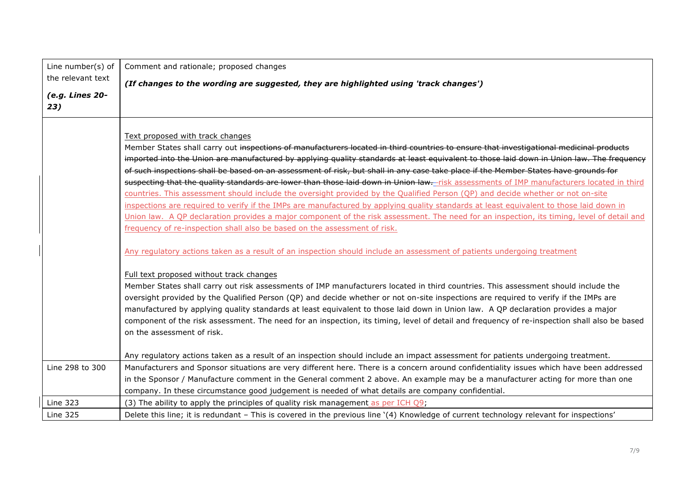| Line number(s) of      | Comment and rationale; proposed changes                                                                                                                                                                                                                                                                                                                                                                                                                                                                                                                                                                                                                                                                                                                                                                                                                                                                                                                                                                                                                                                                               |
|------------------------|-----------------------------------------------------------------------------------------------------------------------------------------------------------------------------------------------------------------------------------------------------------------------------------------------------------------------------------------------------------------------------------------------------------------------------------------------------------------------------------------------------------------------------------------------------------------------------------------------------------------------------------------------------------------------------------------------------------------------------------------------------------------------------------------------------------------------------------------------------------------------------------------------------------------------------------------------------------------------------------------------------------------------------------------------------------------------------------------------------------------------|
| the relevant text      | (If changes to the wording are suggested, they are highlighted using 'track changes')                                                                                                                                                                                                                                                                                                                                                                                                                                                                                                                                                                                                                                                                                                                                                                                                                                                                                                                                                                                                                                 |
| (e.g. Lines 20-<br>23) |                                                                                                                                                                                                                                                                                                                                                                                                                                                                                                                                                                                                                                                                                                                                                                                                                                                                                                                                                                                                                                                                                                                       |
|                        | Text proposed with track changes<br>Member States shall carry out inspections of manufacturers located in third countries to ensure that investigational medicinal products<br>imported into the Union are manufactured by applying quality standards at least equivalent to those laid down in Union law. The frequency<br>of such inspections shall be based on an assessment of risk, but shall in any case take place if the Member States have grounds for<br>suspecting that the quality standards are lower than those laid down in Union law.-risk assessments of IMP manufacturers located in third<br>countries. This assessment should include the oversight provided by the Qualified Person (QP) and decide whether or not on-site<br>inspections are required to verify if the IMPs are manufactured by applying quality standards at least equivalent to those laid down in<br>Union law. A QP declaration provides a major component of the risk assessment. The need for an inspection, its timing, level of detail and<br>frequency of re-inspection shall also be based on the assessment of risk. |
|                        | Any regulatory actions taken as a result of an inspection should include an assessment of patients undergoing treatment                                                                                                                                                                                                                                                                                                                                                                                                                                                                                                                                                                                                                                                                                                                                                                                                                                                                                                                                                                                               |
|                        | Full text proposed without track changes<br>Member States shall carry out risk assessments of IMP manufacturers located in third countries. This assessment should include the<br>oversight provided by the Qualified Person (QP) and decide whether or not on-site inspections are required to verify if the IMPs are<br>manufactured by applying quality standards at least equivalent to those laid down in Union law. A QP declaration provides a major<br>component of the risk assessment. The need for an inspection, its timing, level of detail and frequency of re-inspection shall also be based<br>on the assessment of risk.                                                                                                                                                                                                                                                                                                                                                                                                                                                                             |
|                        | Any regulatory actions taken as a result of an inspection should include an impact assessment for patients undergoing treatment.                                                                                                                                                                                                                                                                                                                                                                                                                                                                                                                                                                                                                                                                                                                                                                                                                                                                                                                                                                                      |
| Line 298 to 300        | Manufacturers and Sponsor situations are very different here. There is a concern around confidentiality issues which have been addressed<br>in the Sponsor / Manufacture comment in the General comment 2 above. An example may be a manufacturer acting for more than one<br>company. In these circumstance good judgement is needed of what details are company confidential.                                                                                                                                                                                                                                                                                                                                                                                                                                                                                                                                                                                                                                                                                                                                       |
| <b>Line 323</b>        | (3) The ability to apply the principles of quality risk management as per ICH Q9;                                                                                                                                                                                                                                                                                                                                                                                                                                                                                                                                                                                                                                                                                                                                                                                                                                                                                                                                                                                                                                     |
| <b>Line 325</b>        | Delete this line; it is redundant - This is covered in the previous line '(4) Knowledge of current technology relevant for inspections'                                                                                                                                                                                                                                                                                                                                                                                                                                                                                                                                                                                                                                                                                                                                                                                                                                                                                                                                                                               |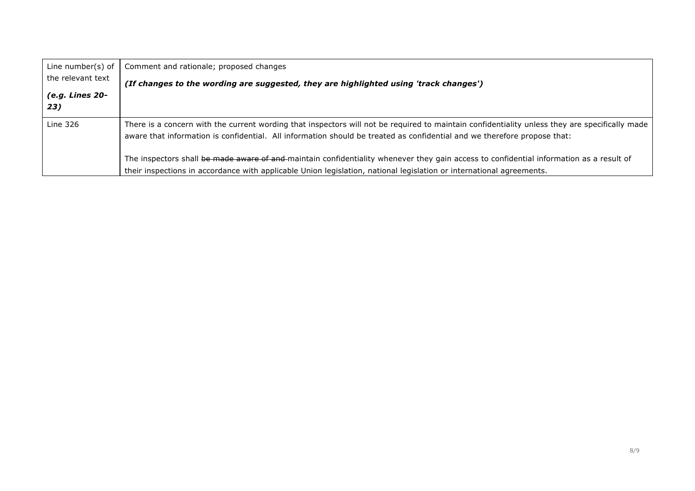| Line number(s) of<br>the relevant text<br>(e.g. Lines 20-<br>23) | Comment and rationale; proposed changes<br>(If changes to the wording are suggested, they are highlighted using 'track changes')                                                                                                                                                                                                                                                                                                                                                                                                              |
|------------------------------------------------------------------|-----------------------------------------------------------------------------------------------------------------------------------------------------------------------------------------------------------------------------------------------------------------------------------------------------------------------------------------------------------------------------------------------------------------------------------------------------------------------------------------------------------------------------------------------|
| <b>Line 326</b>                                                  | There is a concern with the current wording that inspectors will not be required to maintain confidentiality unless they are specifically made<br>aware that information is confidential. All information should be treated as confidential and we therefore propose that:<br>The inspectors shall be made aware of and-maintain confidentiality whenever they gain access to confidential information as a result of<br>their inspections in accordance with applicable Union legislation, national legislation or international agreements. |